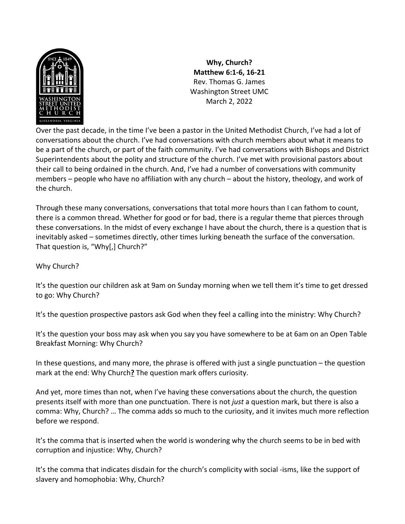

**Why, Church? Matthew 6:1-6, 16-21** Rev. Thomas G. James Washington Street UMC March 2, 2022

Over the past decade, in the time I've been a pastor in the United Methodist Church, I've had a lot of conversations about the church. I've had conversations with church members about what it means to be a part of the church, or part of the faith community. I've had conversations with Bishops and District Superintendents about the polity and structure of the church. I've met with provisional pastors about their call to being ordained in the church. And, I've had a number of conversations with community members – people who have no affiliation with any church – about the history, theology, and work of the church.

Through these many conversations, conversations that total more hours than I can fathom to count, there is a common thread. Whether for good or for bad, there is a regular theme that pierces through these conversations. In the midst of every exchange I have about the church, there is a question that is inevitably asked – sometimes directly, other times lurking beneath the surface of the conversation. That question is, "Why[,] Church?"

Why Church?

It's the question our children ask at 9am on Sunday morning when we tell them it's time to get dressed to go: Why Church?

It's the question prospective pastors ask God when they feel a calling into the ministry: Why Church?

It's the question your boss may ask when you say you have somewhere to be at 6am on an Open Table Breakfast Morning: Why Church?

In these questions, and many more, the phrase is offered with just a single punctuation – the question mark at the end: Why Church**?** The question mark offers curiosity.

And yet, more times than not, when I've having these conversations about the church, the question presents itself with more than one punctuation. There is not *just* a question mark, but there is also a comma: Why, Church? … The comma adds so much to the curiosity, and it invites much more reflection before we respond.

It's the comma that is inserted when the world is wondering why the church seems to be in bed with corruption and injustice: Why, Church?

It's the comma that indicates disdain for the church's complicity with social -isms, like the support of slavery and homophobia: Why, Church?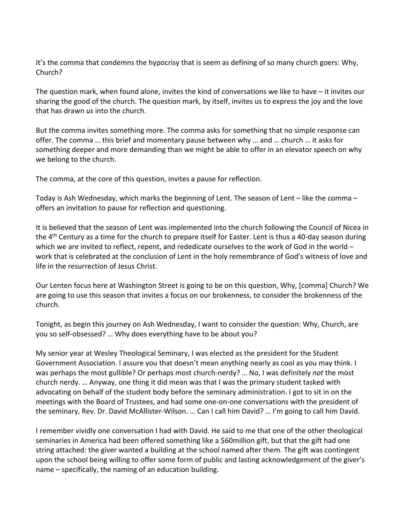It's the comma that condemns the hypocrisy that is seem as defining of so many church goers: Why, Church?

The question mark, when found alone, invites the kind of conversations we like to have – it invites our sharing the good of the church. The question mark, by itself, invites us to express the joy and the love that has drawn *us* into the church.

But the comma invites something more. The comma asks for something that no simple response can offer. The comma … this brief and momentary pause between why … and … church … it asks for something deeper and more demanding than we might be able to offer in an elevator speech on why we belong to the church.

The comma, at the core of this question, invites a pause for reflection.

Today is Ash Wednesday, which marks the beginning of Lent. The season of Lent – like the comma – offers an invitation to pause for reflection and questioning.

It is believed that the season of Lent was implemented into the church following the Council of Nicea in the  $4<sup>th</sup>$  Century as a time for the church to prepare itself for Easter. Lent is thus a 40-day season during which we are invited to reflect, repent, and rededicate ourselves to the work of God in the world work that is celebrated at the conclusion of Lent in the holy remembrance of God's witness of love and life in the resurrection of Jesus Christ.

Our Lenten focus here at Washington Street is going to be on this question, Why, [comma] Church? We are going to use this season that invites a focus on our brokenness, to consider the brokenness of the church.

Tonight, as begin this journey on Ash Wednesday, I want to consider the question: Why, Church, are you so self-obsessed? … Why does everything have to be about you?

My senior year at Wesley Theological Seminary, I was elected as the president for the Student Government Association. I assure you that doesn't mean anything nearly as cool as you may think. I was perhaps the most gullible? Or perhaps most church-nerdy? … No, I was definitely *not* the most church nerdy. … Anyway, one thing it did mean was that I was the primary student tasked with advocating on behalf of the student body before the seminary administration. I got to sit in on the meetings with the Board of Trustees, and had some one-on-one conversations with the president of the seminary, Rev. Dr. David McAllister-Wilson. … Can I call him David? … I'm going to call him David.

I remember vividly one conversation I had with David. He said to me that one of the other theological seminaries in America had been offered something like a \$60million gift, but that the gift had one string attached: the giver wanted a building at the school named after them. The gift was contingent upon the school being willing to offer some form of public and lasting acknowledgement of the giver's name – specifically, the naming of an education building.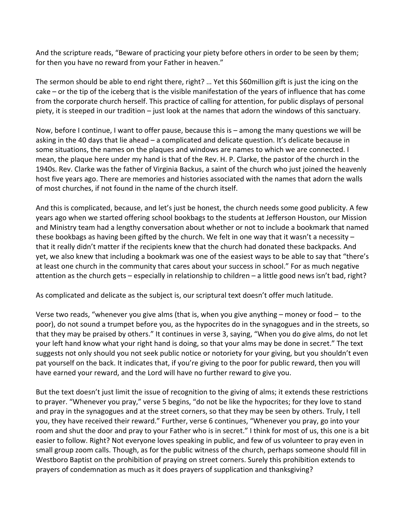And the scripture reads, "Beware of practicing your piety before others in order to be seen by them; for then you have no reward from your Father in heaven."

The sermon should be able to end right there, right? … Yet this \$60million gift is just the icing on the cake – or the tip of the iceberg that is the visible manifestation of the years of influence that has come from the corporate church herself. This practice of calling for attention, for public displays of personal piety, it is steeped in our tradition – just look at the names that adorn the windows of this sanctuary.

Now, before I continue, I want to offer pause, because this is – among the many questions we will be asking in the 40 days that lie ahead – a complicated and delicate question. It's delicate because in some situations, the names on the plaques and windows are names to which we are connected. I mean, the plaque here under my hand is that of the Rev. H. P. Clarke, the pastor of the church in the 1940s. Rev. Clarke was the father of Virginia Backus, a saint of the church who just joined the heavenly host five years ago. There are memories and histories associated with the names that adorn the walls of most churches, if not found in the name of the church itself.

And this is complicated, because, and let's just be honest, the church needs some good publicity. A few years ago when we started offering school bookbags to the students at Jefferson Houston, our Mission and Ministry team had a lengthy conversation about whether or not to include a bookmark that named these bookbags as having been gifted by the church. We felt in one way that it wasn't a necessity  $$ that it really didn't matter if the recipients knew that the church had donated these backpacks. And yet, we also knew that including a bookmark was one of the easiest ways to be able to say that "there's at least one church in the community that cares about your success in school." For as much negative attention as the church gets – especially in relationship to children – a little good news isn't bad, right?

As complicated and delicate as the subject is, our scriptural text doesn't offer much latitude.

Verse two reads, "whenever you give alms (that is, when you give anything – money or food – to the poor), do not sound a trumpet before you, as the hypocrites do in the synagogues and in the streets, so that they may be praised by others." It continues in verse 3, saying, "When you do give alms, do not let your left hand know what your right hand is doing, so that your alms may be done in secret." The text suggests not only should you not seek public notice or notoriety for your giving, but you shouldn't even pat yourself on the back. It indicates that, if you're giving to the poor for public reward, then you will have earned your reward, and the Lord will have no further reward to give you.

But the text doesn't just limit the issue of recognition to the giving of alms; it extends these restrictions to prayer. "Whenever you pray," verse 5 begins, "do not be like the hypocrites; for they love to stand and pray in the synagogues and at the street corners, so that they may be seen by others. Truly, I tell you, they have received their reward." Further, verse 6 continues, "Whenever you pray, go into your room and shut the door and pray to your Father who is in secret." I think for most of us, this one is a bit easier to follow. Right? Not everyone loves speaking in public, and few of us volunteer to pray even in small group zoom calls. Though, as for the public witness of the church, perhaps someone should fill in Westboro Baptist on the prohibition of praying on street corners. Surely this prohibition extends to prayers of condemnation as much as it does prayers of supplication and thanksgiving?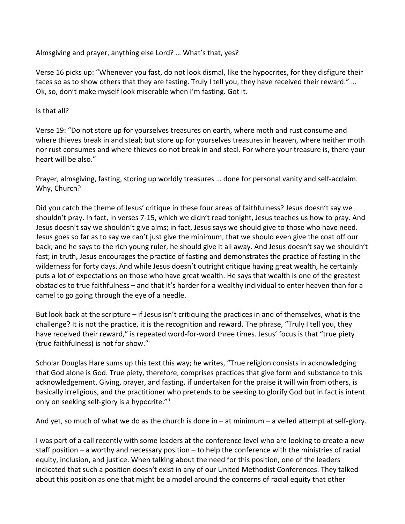Almsgiving and prayer, anything else Lord? … What's that, yes?

Verse 16 picks up: "Whenever you fast, do not look dismal, like the hypocrites, for they disfigure their faces so as to show others that they are fasting. Truly I tell you, they have received their reward." … Ok, so, don't make myself look miserable when I'm fasting. Got it.

Is that all?

Verse 19: "Do not store up for yourselves treasures on earth, where moth and rust consume and where thieves break in and steal; but store up for yourselves treasures in heaven, where neither moth nor rust consumes and where thieves do not break in and steal. For where your treasure is, there your heart will be also."

Prayer, almsgiving, fasting, storing up worldly treasures … done for personal vanity and self-acclaim. Why, Church?

Did you catch the theme of Jesus' critique in these four areas of faithfulness? Jesus doesn't say we shouldn't pray. In fact, in verses 7-15, which we didn't read tonight, Jesus teaches us how to pray. And Jesus doesn't say we shouldn't give alms; in fact, Jesus says we should give to those who have need. Jesus goes so far as to say we can't just give the minimum, that we should even give the coat off our back; and he says to the rich young ruler, he should give it all away. And Jesus doesn't say we shouldn't fast; in truth, Jesus encourages the practice of fasting and demonstrates the practice of fasting in the wilderness for forty days. And while Jesus doesn't outright critique having great wealth, he certainly puts a lot of expectations on those who have great wealth. He says that wealth is one of the greatest obstacles to true faithfulness – and that it's harder for a wealthy individual to enter heaven than for a camel to go going through the eye of a needle.

But look back at the scripture – if Jesus isn't critiquing the practices in and of themselves, what is the challenge? It is not the practice, it is the recognition and reward. The phrase, "Truly I tell you, they have received their reward," is repeated word-for-word three times. Jesus' focus is that "true piety (true faithfulness) is not for show."i

Scholar Douglas Hare sums up this text this way; he writes, "True religion consists in acknowledging that God alone is God. True piety, therefore, comprises practices that give form and substance to this acknowledgement. Giving, prayer, and fasting, if undertaken for the praise it will win from others, is basically irreligious, and the practitioner who pretends to be seeking to glorify God but in fact is intent only on seeking self-glory is a hypocrite."ii

And yet, so much of what we do as the church is done in – at minimum – a veiled attempt at self-glory.

I was part of a call recently with some leaders at the conference level who are looking to create a new staff position – a worthy and necessary position – to help the conference with the ministries of racial equity, inclusion, and justice. When talking about the need for this position, one of the leaders indicated that such a position doesn't exist in any of our United Methodist Conferences. They talked about this position as one that might be a model around the concerns of racial equity that other